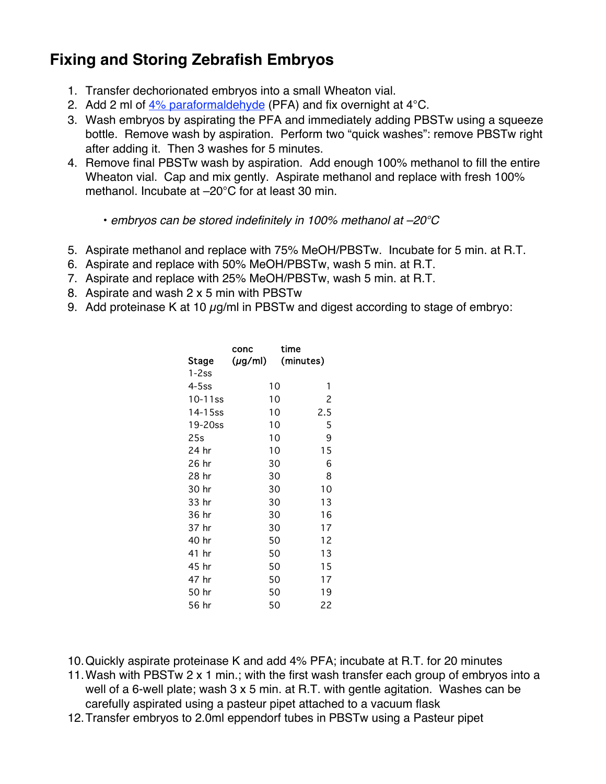## **Fixing and Storing Zebrafish Embryos**

- 1. Transfer dechorionated embryos into a small Wheaton vial.
- 2. Add 2 ml of  $4\%$  paraformaldehyde (PFA) and fix overnight at 4 C.
- 3. Wash embryos by aspirating the PFA and immediately adding PBSTw using a squeeze bottle. Remove wash by aspiration. Perform two "quick washes": remove PBSTw right after adding it. Then 3 washes for 5 minutes.
- 4. Remove final PBSTw wash by aspiration. Add enough 100% methanol to fill the entire Wheaton vial. Cap and mix gently. Aspirate methanol and replace with fresh 100% methanol. Incubate at –20 C for at least 30 min.

• embryos can be stored indefinitely in 100% methanol at –20 C

- 5. Aspirate methanol and replace with 75% MeOH/PBSTw. Incubate for 5 min. at R.T.
- 6. Aspirate and replace with 50% MeOH/PBSTw, wash 5 min. at R.T.
- 7. Aspirate and replace with 25% MeOH/PBSTw, wash 5 min. at R.T.
- 8. Aspirate and wash 2 x 5 min with PBSTw
- 9. Add proteinase K at 10  $\mu$ g/ml in PBSTw and digest according to stage of embryo:

|            | conc         | time      |     |
|------------|--------------|-----------|-----|
| Stage      | $(\mu$ g/ml) | (minutes) |     |
| $1 - 2ss$  |              |           |     |
| 4-5ss      | 10           |           | 1   |
| $10-11$ ss | 10           |           | 2   |
| 14-15ss    | 10           |           | 2.5 |
| 19-20ss    | 10           |           | 5   |
| 25s        | 10           |           | 9   |
| 24 hr      | 10           |           | 15  |
| 26 hr      | 30           |           | 6   |
| 28 hr      | 30           |           | 8   |
| 30 hr      | 30           |           | 10  |
| 33 hr      | 30           |           | 13  |
| 36 hr      | 30           |           | 16  |
| 37 hr      | 30           |           | 17  |
| 40 hr      | 50           |           | 12  |
| 41 hr      | 50           |           | 13  |
| 45 hr      | 50           |           | 15  |
| 47 hr      | 50           |           | 17  |
| 50 hr      | 50           |           | 19  |
| 56 hr      | 50           |           | 22  |

10.Quickly aspirate proteinase K and add 4% PFA; incubate at R.T. for 20 minutes

11.Wash with PBSTw 2 x 1 min.; with the first wash transfer each group of embryos into a well of a 6-well plate; wash 3 x 5 min. at R.T. with gentle agitation. Washes can be carefully aspirated using a pasteur pipet attached to a vacuum flask

12.Transfer embryos to 2.0ml eppendorf tubes in PBSTw using a Pasteur pipet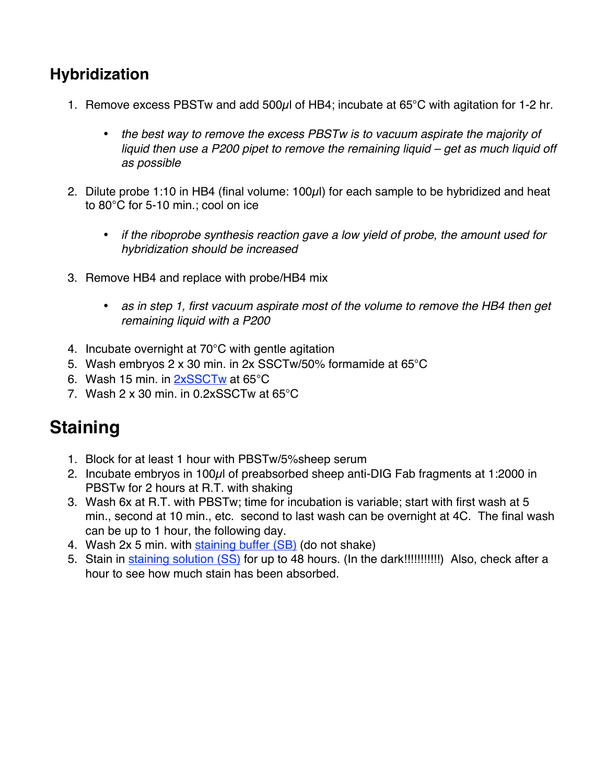### **Hybridization**

1. Remove excess PBSTw and add 500µl of HB4; incubate at 65 C with agitation for 1-2 hr.

the best way to remove the excess PBSTw is to vacuum aspirate the majority of liquid then use a P200 pipet to remove the remaining liquid – get as much liquid off as possible

2. Dilute probe 1:10 in HB4 (final volume: 100µl) for each sample to be hybridized and heat to 80 C for 5-10 min.; cool on ice

> if the riboprobe synthesis reaction gave a low yield of probe, the amount used for hybridization should be increased

3. Remove HB4 and replace with probe/HB4 mix

as in step 1, first vacuum aspirate most of the volume to remove the HB4 then get remaining liquid with a P200

- 4. Incubate overnight at 70 C with gentle agitation
- 5. Wash embryos 2 x 30 min. in 2x SSCTw/50% formamide at 65 C
- 6. Wash 15 min. in 2xSSCTw at 65 C
- 7. Wash 2 x 30 min. in 0.2xSSCTw at 65 C

## **Staining**

- 1. Block for at least 1 hour with PBSTw/5%sheep serum
- 2. Incubate embryos in 100µl of preabsorbed sheep anti-DIG Fab fragments at 1:2000 in PBSTw for 2 hours at R.T. with shaking
- 3. Wash 6x at R.T. with PBSTw; time for incubation is variable; start with first wash at 5 min., second at 10 min., etc. second to last wash can be overnight at 4C. The final wash can be up to 1 hour, the following day.
- 4. Wash 2x 5 min. with staining buffer (SB) (do not shake)
- 5. Stain in staining solution (SS) for up to 48 hours. (In the dark!!!!!!!!!!!!) Also, check after a hour to see how much stain has been absorbed.